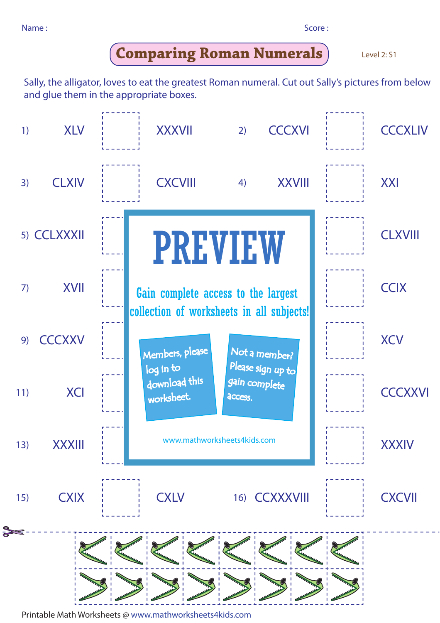| Name: |  |  | Score: |
|-------|--|--|--------|
|-------|--|--|--------|

## **Comparing Roman Numerals**

Level 2: S1

Sally, the alligator, loves to eat the greatest Roman numeral. Cut out Sally's pictures from below and glue them in the appropriate boxes.



Printable Math Worksheets @ www.mathworksheets4kids.com